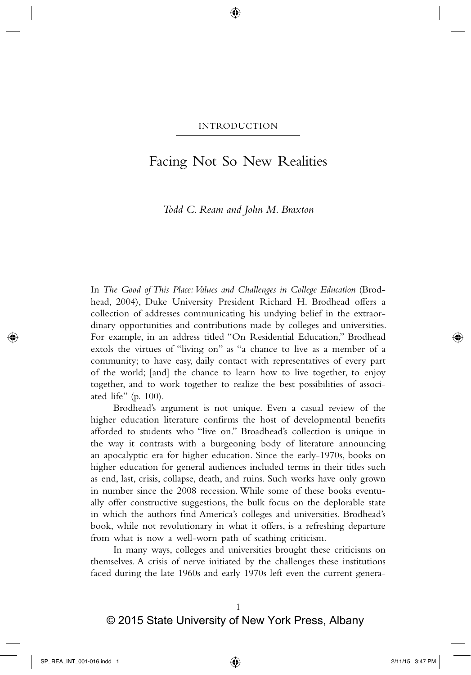# Facing Not So New Realities

*Todd C. Ream and John M. Braxton*

In *The Good of This Place: Values and Challenges in College Education* (Brodhead, 2004), Duke University President Richard H. Brodhead offers a collection of addresses communicating his undying belief in the extraordinary opportunities and contributions made by colleges and universities. For example, in an address titled "On Residential Education," Brodhead extols the virtues of "living on" as "a chance to live as a member of a community; to have easy, daily contact with representatives of every part of the world; [and] the chance to learn how to live together, to enjoy together, and to work together to realize the best possibilities of associated life" (p. 100).

Brodhead's argument is not unique. Even a casual review of the higher education literature confirms the host of developmental benefits afforded to students who "live on." Broadhead's collection is unique in the way it contrasts with a burgeoning body of literature announcing an apocalyptic era for higher education. Since the early-1970s, books on higher education for general audiences included terms in their titles such as end, last, crisis, collapse, death, and ruins. Such works have only grown in number since the 2008 recession. While some of these books eventually offer constructive suggestions, the bulk focus on the deplorable state in which the authors find America's colleges and universities. Brodhead's book, while not revolutionary in what it offers, is a refreshing departure from what is now a well-worn path of scathing criticism.

In many ways, colleges and universities brought these criticisms on themselves. A crisis of nerve initiated by the challenges these institutions faced during the late 1960s and early 1970s left even the current genera-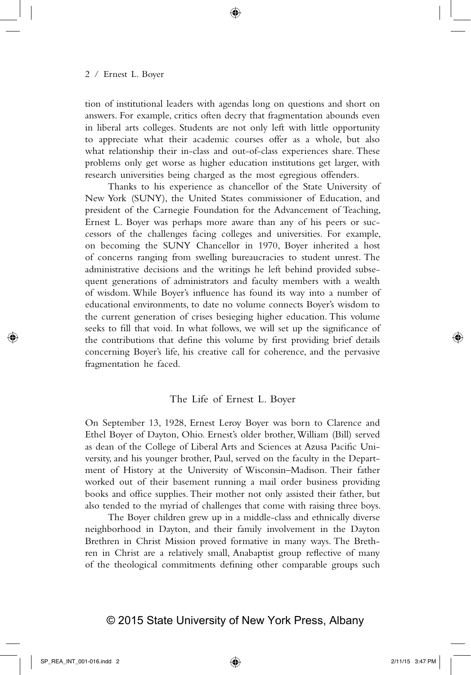tion of institutional leaders with agendas long on questions and short on answers. For example, critics often decry that fragmentation abounds even in liberal arts colleges. Students are not only left with little opportunity to appreciate what their academic courses offer as a whole, but also what relationship their in-class and out-of-class experiences share. These problems only get worse as higher education institutions get larger, with research universities being charged as the most egregious offenders.

Thanks to his experience as chancellor of the State University of New York (SUNY), the United States commissioner of Education, and president of the Carnegie Foundation for the Advancement of Teaching, Ernest L. Boyer was perhaps more aware than any of his peers or successors of the challenges facing colleges and universities. For example, on becoming the SUNY Chancellor in 1970, Boyer inherited a host of concerns ranging from swelling bureaucracies to student unrest. The administrative decisions and the writings he left behind provided subsequent generations of administrators and faculty members with a wealth of wisdom. While Boyer's influence has found its way into a number of educational environments, to date no volume connects Boyer's wisdom to the current generation of crises besieging higher education. This volume seeks to fill that void. In what follows, we will set up the significance of the contributions that define this volume by first providing brief details concerning Boyer's life, his creative call for coherence, and the pervasive fragmentation he faced.

## The Life of Ernest L. Boyer

On September 13, 1928, Ernest Leroy Boyer was born to Clarence and Ethel Boyer of Dayton, Ohio. Ernest's older brother, William (Bill) served as dean of the College of Liberal Arts and Sciences at Azusa Pacific University, and his younger brother, Paul, served on the faculty in the Department of History at the University of Wisconsin–Madison. Their father worked out of their basement running a mail order business providing books and office supplies. Their mother not only assisted their father, but also tended to the myriad of challenges that come with raising three boys.

The Boyer children grew up in a middle-class and ethnically diverse neighborhood in Dayton, and their family involvement in the Dayton Brethren in Christ Mission proved formative in many ways. The Brethren in Christ are a relatively small, Anabaptist group reflective of many of the theological commitments defining other comparable groups such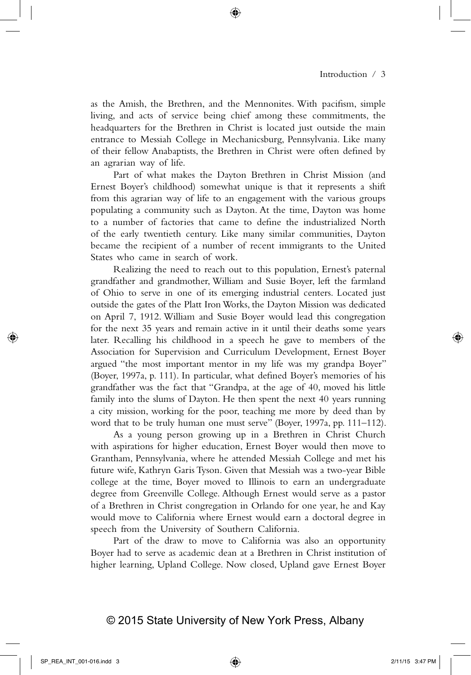as the Amish, the Brethren, and the Mennonites. With pacifism, simple living, and acts of service being chief among these commitments, the headquarters for the Brethren in Christ is located just outside the main entrance to Messiah College in Mechanicsburg, Pennsylvania. Like many of their fellow Anabaptists, the Brethren in Christ were often defined by an agrarian way of life.

Part of what makes the Dayton Brethren in Christ Mission (and Ernest Boyer's childhood) somewhat unique is that it represents a shift from this agrarian way of life to an engagement with the various groups populating a community such as Dayton. At the time, Dayton was home to a number of factories that came to define the industrialized North of the early twentieth century. Like many similar communities, Dayton became the recipient of a number of recent immigrants to the United States who came in search of work.

Realizing the need to reach out to this population, Ernest's paternal grandfather and grandmother, William and Susie Boyer, left the farmland of Ohio to serve in one of its emerging industrial centers. Located just outside the gates of the Platt Iron Works, the Dayton Mission was dedicated on April 7, 1912. William and Susie Boyer would lead this congregation for the next 35 years and remain active in it until their deaths some years later. Recalling his childhood in a speech he gave to members of the Association for Supervision and Curriculum Development, Ernest Boyer argued "the most important mentor in my life was my grandpa Boyer" (Boyer, 1997a, p. 111). In particular, what defined Boyer's memories of his grandfather was the fact that "Grandpa, at the age of 40, moved his little family into the slums of Dayton. He then spent the next 40 years running a city mission, working for the poor, teaching me more by deed than by word that to be truly human one must serve" (Boyer, 1997a, pp. 111–112).

As a young person growing up in a Brethren in Christ Church with aspirations for higher education, Ernest Boyer would then move to Grantham, Pennsylvania, where he attended Messiah College and met his future wife, Kathryn Garis Tyson. Given that Messiah was a two-year Bible college at the time, Boyer moved to Illinois to earn an undergraduate degree from Greenville College. Although Ernest would serve as a pastor of a Brethren in Christ congregation in Orlando for one year, he and Kay would move to California where Ernest would earn a doctoral degree in speech from the University of Southern California.

Part of the draw to move to California was also an opportunity Boyer had to serve as academic dean at a Brethren in Christ institution of higher learning, Upland College. Now closed, Upland gave Ernest Boyer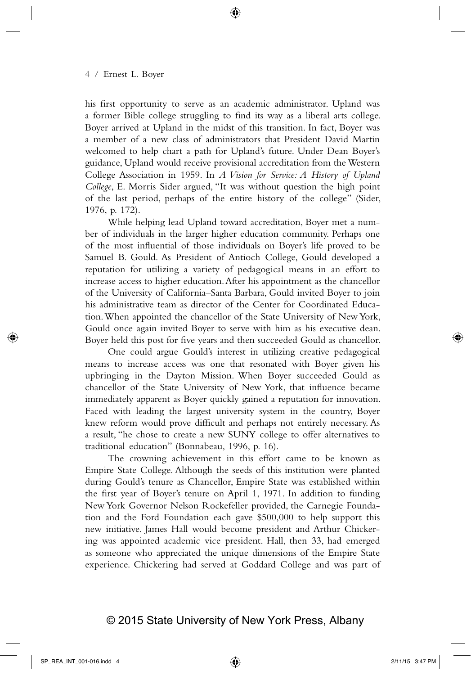his first opportunity to serve as an academic administrator. Upland was a former Bible college struggling to find its way as a liberal arts college. Boyer arrived at Upland in the midst of this transition. In fact, Boyer was a member of a new class of administrators that President David Martin welcomed to help chart a path for Upland's future. Under Dean Boyer's guidance, Upland would receive provisional accreditation from the Western College Association in 1959. In *A Vision for Service: A History of Upland College*, E. Morris Sider argued, "It was without question the high point of the last period, perhaps of the entire history of the college" (Sider, 1976, p. 172).

While helping lead Upland toward accreditation, Boyer met a number of individuals in the larger higher education community. Perhaps one of the most influential of those individuals on Boyer's life proved to be Samuel B. Gould. As President of Antioch College, Gould developed a reputation for utilizing a variety of pedagogical means in an effort to increase access to higher education. After his appointment as the chancellor of the University of California–Santa Barbara, Gould invited Boyer to join his administrative team as director of the Center for Coordinated Education. When appointed the chancellor of the State University of New York, Gould once again invited Boyer to serve with him as his executive dean. Boyer held this post for five years and then succeeded Gould as chancellor.

One could argue Gould's interest in utilizing creative pedagogical means to increase access was one that resonated with Boyer given his upbringing in the Dayton Mission. When Boyer succeeded Gould as chancellor of the State University of New York, that influence became immediately apparent as Boyer quickly gained a reputation for innovation. Faced with leading the largest university system in the country, Boyer knew reform would prove difficult and perhaps not entirely necessary. As a result, "he chose to create a new SUNY college to offer alternatives to traditional education" (Bonnabeau, 1996, p. 16).

The crowning achievement in this effort came to be known as Empire State College. Although the seeds of this institution were planted during Gould's tenure as Chancellor, Empire State was established within the first year of Boyer's tenure on April 1, 1971. In addition to funding New York Governor Nelson Rockefeller provided, the Carnegie Foundation and the Ford Foundation each gave \$500,000 to help support this new initiative. James Hall would become president and Arthur Chickering was appointed academic vice president. Hall, then 33, had emerged as someone who appreciated the unique dimensions of the Empire State experience. Chickering had served at Goddard College and was part of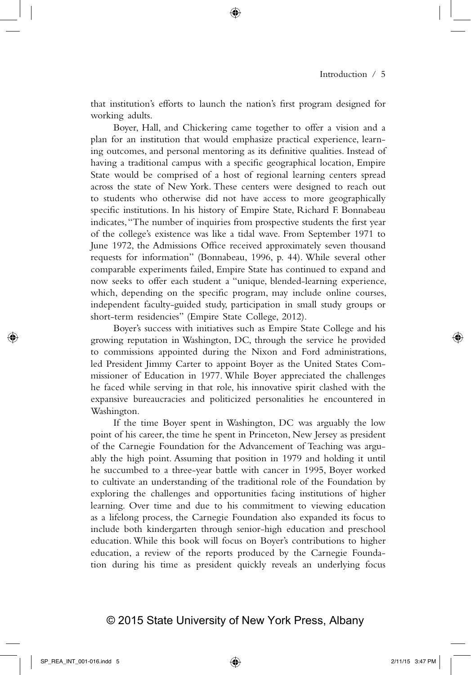that institution's efforts to launch the nation's first program designed for working adults.

Boyer, Hall, and Chickering came together to offer a vision and a plan for an institution that would emphasize practical experience, learning outcomes, and personal mentoring as its definitive qualities. Instead of having a traditional campus with a specific geographical location, Empire State would be comprised of a host of regional learning centers spread across the state of New York. These centers were designed to reach out to students who otherwise did not have access to more geographically specific institutions. In his history of Empire State, Richard F. Bonnabeau indicates, "The number of inquiries from prospective students the first year of the college's existence was like a tidal wave. From September 1971 to June 1972, the Admissions Office received approximately seven thousand requests for information" (Bonnabeau, 1996, p. 44). While several other comparable experiments failed, Empire State has continued to expand and now seeks to offer each student a "unique, blended-learning experience, which, depending on the specific program, may include online courses, independent faculty-guided study, participation in small study groups or short-term residencies" (Empire State College, 2012).

Boyer's success with initiatives such as Empire State College and his growing reputation in Washington, DC, through the service he provided to commissions appointed during the Nixon and Ford administrations, led President Jimmy Carter to appoint Boyer as the United States Commissioner of Education in 1977. While Boyer appreciated the challenges he faced while serving in that role, his innovative spirit clashed with the expansive bureaucracies and politicized personalities he encountered in Washington.

If the time Boyer spent in Washington, DC was arguably the low point of his career, the time he spent in Princeton, New Jersey as president of the Carnegie Foundation for the Advancement of Teaching was arguably the high point. Assuming that position in 1979 and holding it until he succumbed to a three-year battle with cancer in 1995, Boyer worked to cultivate an understanding of the traditional role of the Foundation by exploring the challenges and opportunities facing institutions of higher learning. Over time and due to his commitment to viewing education as a lifelong process, the Carnegie Foundation also expanded its focus to include both kindergarten through senior-high education and preschool education. While this book will focus on Boyer's contributions to higher education, a review of the reports produced by the Carnegie Foundation during his time as president quickly reveals an underlying focus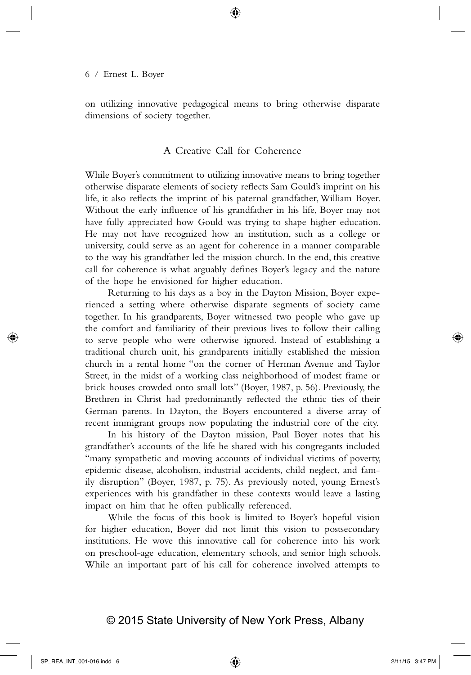on utilizing innovative pedagogical means to bring otherwise disparate dimensions of society together.

## A Creative Call for Coherence

While Boyer's commitment to utilizing innovative means to bring together otherwise disparate elements of society reflects Sam Gould's imprint on his life, it also reflects the imprint of his paternal grandfather, William Boyer. Without the early influence of his grandfather in his life, Boyer may not have fully appreciated how Gould was trying to shape higher education. He may not have recognized how an institution, such as a college or university, could serve as an agent for coherence in a manner comparable to the way his grandfather led the mission church. In the end, this creative call for coherence is what arguably defines Boyer's legacy and the nature of the hope he envisioned for higher education.

Returning to his days as a boy in the Dayton Mission, Boyer experienced a setting where otherwise disparate segments of society came together. In his grandparents, Boyer witnessed two people who gave up the comfort and familiarity of their previous lives to follow their calling to serve people who were otherwise ignored. Instead of establishing a traditional church unit, his grandparents initially established the mission church in a rental home "on the corner of Herman Avenue and Taylor Street, in the midst of a working class neighborhood of modest frame or brick houses crowded onto small lots" (Boyer, 1987, p. 56). Previously, the Brethren in Christ had predominantly reflected the ethnic ties of their German parents. In Dayton, the Boyers encountered a diverse array of recent immigrant groups now populating the industrial core of the city.

In his history of the Dayton mission, Paul Boyer notes that his grandfather's accounts of the life he shared with his congregants included "many sympathetic and moving accounts of individual victims of poverty, epidemic disease, alcoholism, industrial accidents, child neglect, and family disruption" (Boyer, 1987, p. 75). As previously noted, young Ernest's experiences with his grandfather in these contexts would leave a lasting impact on him that he often publically referenced.

While the focus of this book is limited to Boyer's hopeful vision for higher education, Boyer did not limit this vision to postsecondary institutions. He wove this innovative call for coherence into his work on preschool-age education, elementary schools, and senior high schools. While an important part of his call for coherence involved attempts to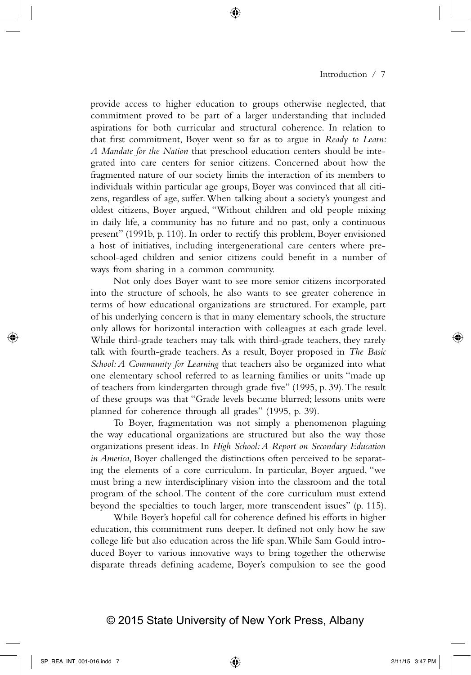provide access to higher education to groups otherwise neglected, that commitment proved to be part of a larger understanding that included aspirations for both curricular and structural coherence. In relation to that first commitment, Boyer went so far as to argue in *Ready to Learn: A Mandate for the Nation* that preschool education centers should be integrated into care centers for senior citizens. Concerned about how the fragmented nature of our society limits the interaction of its members to individuals within particular age groups, Boyer was convinced that all citizens, regardless of age, suffer. When talking about a society's youngest and oldest citizens, Boyer argued, "Without children and old people mixing in daily life, a community has no future and no past, only a continuous present" (1991b, p. 110). In order to rectify this problem, Boyer envisioned a host of initiatives, including intergenerational care centers where preschool-aged children and senior citizens could benefit in a number of ways from sharing in a common community.

Not only does Boyer want to see more senior citizens incorporated into the structure of schools, he also wants to see greater coherence in terms of how educational organizations are structured. For example, part of his underlying concern is that in many elementary schools, the structure only allows for horizontal interaction with colleagues at each grade level. While third-grade teachers may talk with third-grade teachers, they rarely talk with fourth-grade teachers. As a result, Boyer proposed in *The Basic School: A Community for Learning* that teachers also be organized into what one elementary school referred to as learning families or units "made up of teachers from kindergarten through grade five" (1995, p. 39). The result of these groups was that "Grade levels became blurred; lessons units were planned for coherence through all grades" (1995, p. 39).

To Boyer, fragmentation was not simply a phenomenon plaguing the way educational organizations are structured but also the way those organizations present ideas. In *High School: A Report on Secondary Education in America*, Boyer challenged the distinctions often perceived to be separating the elements of a core curriculum. In particular, Boyer argued, "we must bring a new interdisciplinary vision into the classroom and the total program of the school. The content of the core curriculum must extend beyond the specialties to touch larger, more transcendent issues" (p. 115).

While Boyer's hopeful call for coherence defined his efforts in higher education, this commitment runs deeper. It defined not only how he saw college life but also education across the life span. While Sam Gould introduced Boyer to various innovative ways to bring together the otherwise disparate threads defining academe, Boyer's compulsion to see the good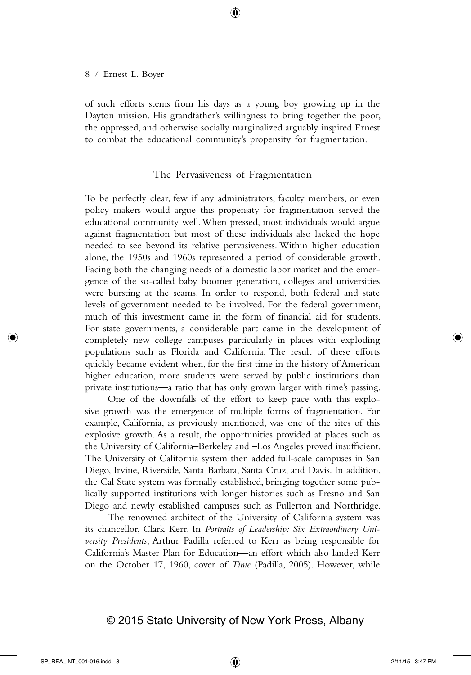of such efforts stems from his days as a young boy growing up in the Dayton mission. His grandfather's willingness to bring together the poor, the oppressed, and otherwise socially marginalized arguably inspired Ernest to combat the educational community's propensity for fragmentation.

#### The Pervasiveness of Fragmentation

To be perfectly clear, few if any administrators, faculty members, or even policy makers would argue this propensity for fragmentation served the educational community well. When pressed, most individuals would argue against fragmentation but most of these individuals also lacked the hope needed to see beyond its relative pervasiveness. Within higher education alone, the 1950s and 1960s represented a period of considerable growth. Facing both the changing needs of a domestic labor market and the emergence of the so-called baby boomer generation, colleges and universities were bursting at the seams. In order to respond, both federal and state levels of government needed to be involved. For the federal government, much of this investment came in the form of financial aid for students. For state governments, a considerable part came in the development of completely new college campuses particularly in places with exploding populations such as Florida and California. The result of these efforts quickly became evident when, for the first time in the history of American higher education, more students were served by public institutions than private institutions—a ratio that has only grown larger with time's passing.

One of the downfalls of the effort to keep pace with this explosive growth was the emergence of multiple forms of fragmentation. For example, California, as previously mentioned, was one of the sites of this explosive growth. As a result, the opportunities provided at places such as the University of California–Berkeley and –Los Angeles proved insufficient. The University of California system then added full-scale campuses in San Diego, Irvine, Riverside, Santa Barbara, Santa Cruz, and Davis. In addition, the Cal State system was formally established, bringing together some publically supported institutions with longer histories such as Fresno and San Diego and newly established campuses such as Fullerton and Northridge.

The renowned architect of the University of California system was its chancellor, Clark Kerr. In *Portraits of Leadership: Six Extraordinary University Presidents*, Arthur Padilla referred to Kerr as being responsible for California's Master Plan for Education—an effort which also landed Kerr on the October 17, 1960, cover of *Time* (Padilla, 2005). However, while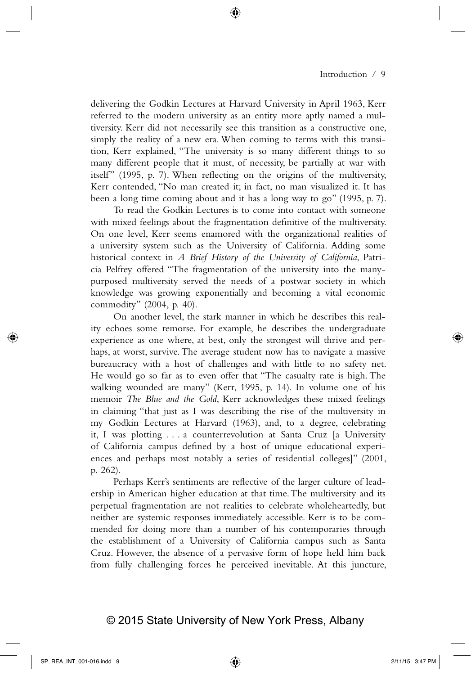delivering the Godkin Lectures at Harvard University in April 1963, Kerr referred to the modern university as an entity more aptly named a multiversity. Kerr did not necessarily see this transition as a constructive one, simply the reality of a new era. When coming to terms with this transition, Kerr explained, "The university is so many different things to so many different people that it must, of necessity, be partially at war with itself" (1995, p. 7). When reflecting on the origins of the multiversity, Kerr contended, "No man created it; in fact, no man visualized it. It has been a long time coming about and it has a long way to go" (1995, p. 7).

To read the Godkin Lectures is to come into contact with someone with mixed feelings about the fragmentation definitive of the multiversity. On one level, Kerr seems enamored with the organizational realities of a university system such as the University of California. Adding some historical context in *A Brief History of the University of California*, Patricia Pelfrey offered "The fragmentation of the university into the manypurposed multiversity served the needs of a postwar society in which knowledge was growing exponentially and becoming a vital economic commodity" (2004, p. 40).

On another level, the stark manner in which he describes this reality echoes some remorse. For example, he describes the undergraduate experience as one where, at best, only the strongest will thrive and perhaps, at worst, survive. The average student now has to navigate a massive bureaucracy with a host of challenges and with little to no safety net. He would go so far as to even offer that "The casualty rate is high. The walking wounded are many" (Kerr, 1995, p. 14). In volume one of his memoir *The Blue and the Gold*, Kerr acknowledges these mixed feelings in claiming "that just as I was describing the rise of the multiversity in my Godkin Lectures at Harvard (1963), and, to a degree, celebrating it, I was plotting . . . a counterrevolution at Santa Cruz [a University of California campus defined by a host of unique educational experiences and perhaps most notably a series of residential colleges]" (2001, p. 262).

Perhaps Kerr's sentiments are reflective of the larger culture of leadership in American higher education at that time. The multiversity and its perpetual fragmentation are not realities to celebrate wholeheartedly, but neither are systemic responses immediately accessible. Kerr is to be commended for doing more than a number of his contemporaries through the establishment of a University of California campus such as Santa Cruz. However, the absence of a pervasive form of hope held him back from fully challenging forces he perceived inevitable. At this juncture,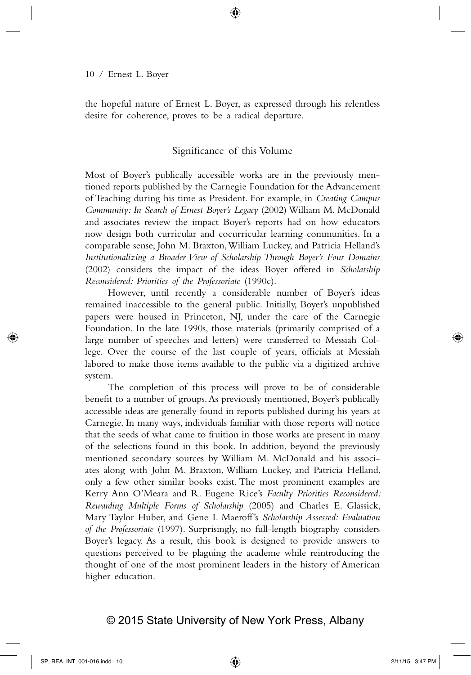the hopeful nature of Ernest L. Boyer, as expressed through his relentless desire for coherence, proves to be a radical departure.

## Significance of this Volume

Most of Boyer's publically accessible works are in the previously mentioned reports published by the Carnegie Foundation for the Advancement of Teaching during his time as President. For example, in *Creating Campus Community: In Search of Ernest Boyer's Legacy* (2002) William M. McDonald and associates review the impact Boyer's reports had on how educators now design both curricular and cocurricular learning communities. In a comparable sense, John M. Braxton, William Luckey, and Patricia Helland's *Institutionalizing a Broader View of Scholarship Through Boyer's Four Domains*  (2002) considers the impact of the ideas Boyer offered in *Scholarship Reconsidered: Priorities of the Professoriate* (1990c).

However, until recently a considerable number of Boyer's ideas remained inaccessible to the general public. Initially, Boyer's unpublished papers were housed in Princeton, NJ, under the care of the Carnegie Foundation. In the late 1990s, those materials (primarily comprised of a large number of speeches and letters) were transferred to Messiah College. Over the course of the last couple of years, officials at Messiah labored to make those items available to the public via a digitized archive system.

The completion of this process will prove to be of considerable benefit to a number of groups. As previously mentioned, Boyer's publically accessible ideas are generally found in reports published during his years at Carnegie. In many ways, individuals familiar with those reports will notice that the seeds of what came to fruition in those works are present in many of the selections found in this book. In addition, beyond the previously mentioned secondary sources by William M. McDonald and his associates along with John M. Braxton, William Luckey, and Patricia Helland, only a few other similar books exist. The most prominent examples are Kerry Ann O'Meara and R. Eugene Rice's *Faculty Priorities Reconsidered: Rewarding Multiple Forms of Scholarship* (2005) and Charles E. Glassick, Mary Taylor Huber, and Gene I. Maeroff's *Scholarship Assessed: Evaluation of the Professoriate* (1997). Surprisingly, no full-length biography considers Boyer's legacy. As a result, this book is designed to provide answers to questions perceived to be plaguing the academe while reintroducing the thought of one of the most prominent leaders in the history of American higher education.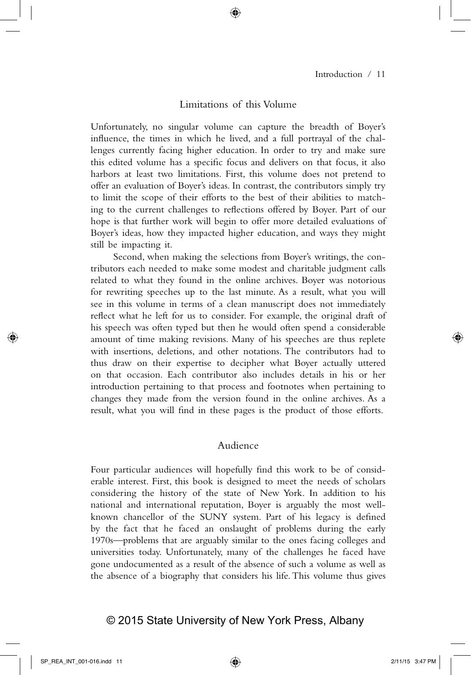#### Limitations of this Volume

Unfortunately, no singular volume can capture the breadth of Boyer's influence, the times in which he lived, and a full portrayal of the challenges currently facing higher education. In order to try and make sure this edited volume has a specific focus and delivers on that focus, it also harbors at least two limitations. First, this volume does not pretend to offer an evaluation of Boyer's ideas. In contrast, the contributors simply try to limit the scope of their efforts to the best of their abilities to matching to the current challenges to reflections offered by Boyer. Part of our hope is that further work will begin to offer more detailed evaluations of Boyer's ideas, how they impacted higher education, and ways they might still be impacting it.

Second, when making the selections from Boyer's writings, the contributors each needed to make some modest and charitable judgment calls related to what they found in the online archives. Boyer was notorious for rewriting speeches up to the last minute. As a result, what you will see in this volume in terms of a clean manuscript does not immediately reflect what he left for us to consider. For example, the original draft of his speech was often typed but then he would often spend a considerable amount of time making revisions. Many of his speeches are thus replete with insertions, deletions, and other notations. The contributors had to thus draw on their expertise to decipher what Boyer actually uttered on that occasion. Each contributor also includes details in his or her introduction pertaining to that process and footnotes when pertaining to changes they made from the version found in the online archives. As a result, what you will find in these pages is the product of those efforts.

## Audience

Four particular audiences will hopefully find this work to be of considerable interest. First, this book is designed to meet the needs of scholars considering the history of the state of New York. In addition to his national and international reputation, Boyer is arguably the most wellknown chancellor of the SUNY system. Part of his legacy is defined by the fact that he faced an onslaught of problems during the early 1970s—problems that are arguably similar to the ones facing colleges and universities today. Unfortunately, many of the challenges he faced have gone undocumented as a result of the absence of such a volume as well as the absence of a biography that considers his life. This volume thus gives

## © 2015 State University of New York Press, Albany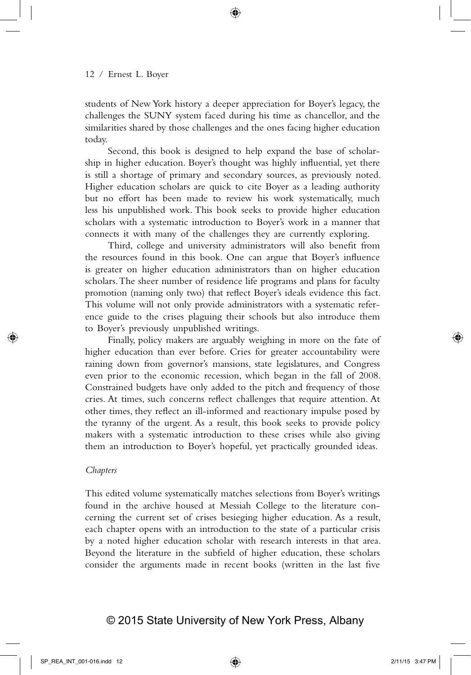students of New York history a deeper appreciation for Boyer's legacy, the challenges the SUNY system faced during his time as chancellor, and the similarities shared by those challenges and the ones facing higher education today.

Second, this book is designed to help expand the base of scholarship in higher education. Boyer's thought was highly influential, yet there is still a shortage of primary and secondary sources, as previously noted. Higher education scholars are quick to cite Boyer as a leading authority but no effort has been made to review his work systematically, much less his unpublished work. This book seeks to provide higher education scholars with a systematic introduction to Boyer's work in a manner that connects it with many of the challenges they are currently exploring.

Third, college and university administrators will also benefit from the resources found in this book. One can argue that Boyer's influence is greater on higher education administrators than on higher education scholars. The sheer number of residence life programs and plans for faculty promotion (naming only two) that reflect Boyer's ideals evidence this fact. This volume will not only provide administrators with a systematic reference guide to the crises plaguing their schools but also introduce them to Boyer's previously unpublished writings.

Finally, policy makers are arguably weighing in more on the fate of higher education than ever before. Cries for greater accountability were raining down from governor's mansions, state legislatures, and Congress even prior to the economic recession, which began in the fall of 2008. Constrained budgets have only added to the pitch and frequency of those cries. At times, such concerns reflect challenges that require attention. At other times, they reflect an ill-informed and reactionary impulse posed by the tyranny of the urgent. As a result, this book seeks to provide policy makers with a systematic introduction to these crises while also giving them an introduction to Boyer's hopeful, yet practically grounded ideas.

#### *Chapters*

This edited volume systematically matches selections from Boyer's writings found in the archive housed at Messiah College to the literature concerning the current set of crises besieging higher education. As a result, each chapter opens with an introduction to the state of a particular crisis by a noted higher education scholar with research interests in that area. Beyond the literature in the subfield of higher education, these scholars consider the arguments made in recent books (written in the last five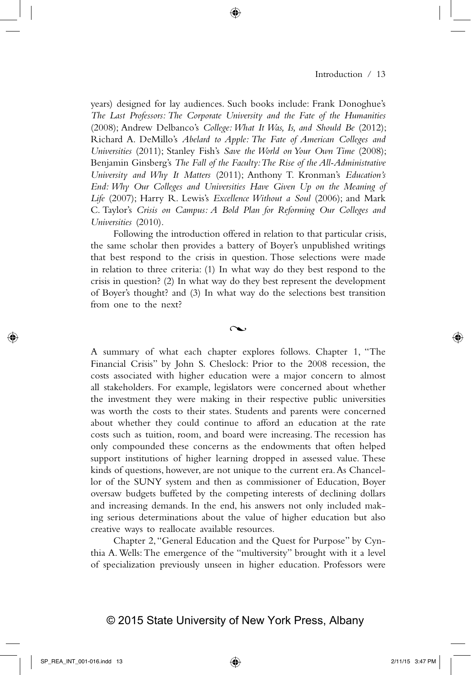years) designed for lay audiences. Such books include: Frank Donoghue's *The Last Professors: The Corporate University and the Fate of the Humanities* (2008); Andrew Delbanco's *College: What It Was, Is, and Should Be* (2012); Richard A. DeMillo's *Abelard to Apple: The Fate of American Colleges and Universities* (2011); Stanley Fish's *Save the World on Your Own Time* (2008); Benjamin Ginsberg's *The Fall of the Faculty: The Rise of the All-Administrative University and Why It Matters* (2011); Anthony T. Kronman's *Education's End: Why Our Colleges and Universities Have Given Up on the Meaning of Life* (2007); Harry R. Lewis's *Excellence Without a Soul* (2006); and Mark C. Taylor's *Crisis on Campus: A Bold Plan for Reforming Our Colleges and Universities* (2010).

Following the introduction offered in relation to that particular crisis, the same scholar then provides a battery of Boyer's unpublished writings that best respond to the crisis in question. Those selections were made in relation to three criteria: (1) In what way do they best respond to the crisis in question? (2) In what way do they best represent the development of Boyer's thought? and (3) In what way do the selections best transition from one to the next?

 $\sim$ 

A summary of what each chapter explores follows. Chapter 1, "The Financial Crisis" by John S. Cheslock: Prior to the 2008 recession, the costs associated with higher education were a major concern to almost all stakeholders. For example, legislators were concerned about whether the investment they were making in their respective public universities was worth the costs to their states. Students and parents were concerned about whether they could continue to afford an education at the rate costs such as tuition, room, and board were increasing. The recession has only compounded these concerns as the endowments that often helped support institutions of higher learning dropped in assessed value. These kinds of questions, however, are not unique to the current era. As Chancellor of the SUNY system and then as commissioner of Education, Boyer oversaw budgets buffeted by the competing interests of declining dollars and increasing demands. In the end, his answers not only included making serious determinations about the value of higher education but also creative ways to reallocate available resources.

Chapter 2, "General Education and the Quest for Purpose" by Cynthia A. Wells: The emergence of the "multiversity" brought with it a level of specialization previously unseen in higher education. Professors were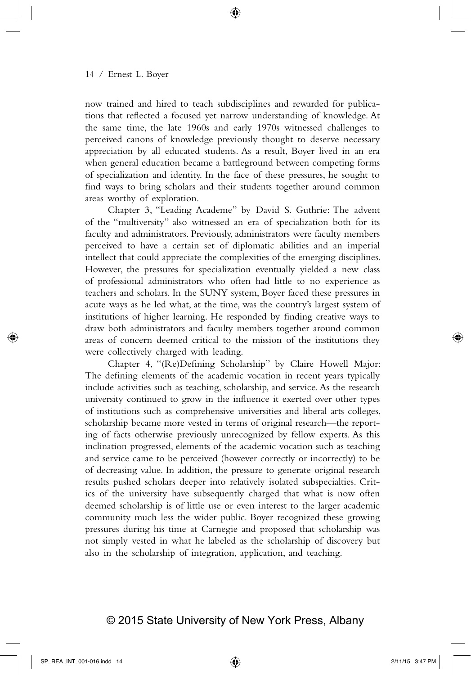now trained and hired to teach subdisciplines and rewarded for publications that reflected a focused yet narrow understanding of knowledge. At the same time, the late 1960s and early 1970s witnessed challenges to perceived canons of knowledge previously thought to deserve necessary appreciation by all educated students. As a result, Boyer lived in an era when general education became a battleground between competing forms of specialization and identity. In the face of these pressures, he sought to find ways to bring scholars and their students together around common areas worthy of exploration.

Chapter 3, "Leading Academe" by David S. Guthrie: The advent of the "multiversity" also witnessed an era of specialization both for its faculty and administrators. Previously, administrators were faculty members perceived to have a certain set of diplomatic abilities and an imperial intellect that could appreciate the complexities of the emerging disciplines. However, the pressures for specialization eventually yielded a new class of professional administrators who often had little to no experience as teachers and scholars. In the SUNY system, Boyer faced these pressures in acute ways as he led what, at the time, was the country's largest system of institutions of higher learning. He responded by finding creative ways to draw both administrators and faculty members together around common areas of concern deemed critical to the mission of the institutions they were collectively charged with leading.

Chapter 4, "(Re)Defining Scholarship" by Claire Howell Major: The defining elements of the academic vocation in recent years typically include activities such as teaching, scholarship, and service. As the research university continued to grow in the influence it exerted over other types of institutions such as comprehensive universities and liberal arts colleges, scholarship became more vested in terms of original research—the reporting of facts otherwise previously unrecognized by fellow experts. As this inclination progressed, elements of the academic vocation such as teaching and service came to be perceived (however correctly or incorrectly) to be of decreasing value. In addition, the pressure to generate original research results pushed scholars deeper into relatively isolated subspecialties. Critics of the university have subsequently charged that what is now often deemed scholarship is of little use or even interest to the larger academic community much less the wider public. Boyer recognized these growing pressures during his time at Carnegie and proposed that scholarship was not simply vested in what he labeled as the scholarship of discovery but also in the scholarship of integration, application, and teaching.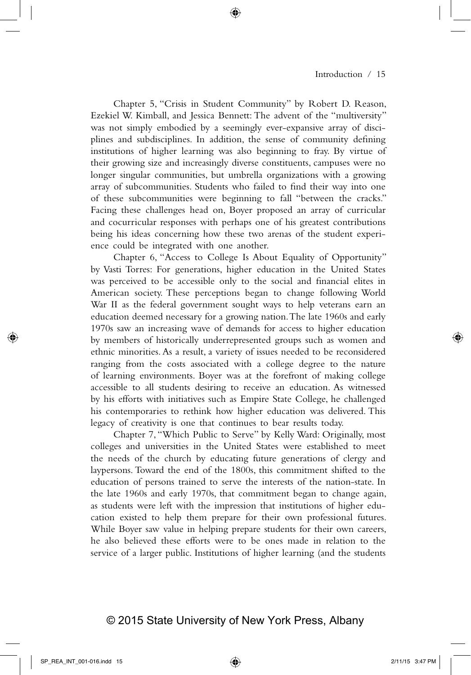Chapter 5, "Crisis in Student Community" by Robert D. Reason, Ezekiel W. Kimball, and Jessica Bennett: The advent of the "multiversity" was not simply embodied by a seemingly ever-expansive array of disciplines and subdisciplines. In addition, the sense of community defining institutions of higher learning was also beginning to fray. By virtue of their growing size and increasingly diverse constituents, campuses were no longer singular communities, but umbrella organizations with a growing array of subcommunities. Students who failed to find their way into one of these subcommunities were beginning to fall "between the cracks." Facing these challenges head on, Boyer proposed an array of curricular and cocurricular responses with perhaps one of his greatest contributions being his ideas concerning how these two arenas of the student experience could be integrated with one another.

Chapter 6, "Access to College Is About Equality of Opportunity" by Vasti Torres: For generations, higher education in the United States was perceived to be accessible only to the social and financial elites in American society. These perceptions began to change following World War II as the federal government sought ways to help veterans earn an education deemed necessary for a growing nation. The late 1960s and early 1970s saw an increasing wave of demands for access to higher education by members of historically underrepresented groups such as women and ethnic minorities. As a result, a variety of issues needed to be reconsidered ranging from the costs associated with a college degree to the nature of learning environments. Boyer was at the forefront of making college accessible to all students desiring to receive an education. As witnessed by his efforts with initiatives such as Empire State College, he challenged his contemporaries to rethink how higher education was delivered. This legacy of creativity is one that continues to bear results today.

Chapter 7, "Which Public to Serve" by Kelly Ward: Originally, most colleges and universities in the United States were established to meet the needs of the church by educating future generations of clergy and laypersons. Toward the end of the 1800s, this commitment shifted to the education of persons trained to serve the interests of the nation-state. In the late 1960s and early 1970s, that commitment began to change again, as students were left with the impression that institutions of higher education existed to help them prepare for their own professional futures. While Boyer saw value in helping prepare students for their own careers, he also believed these efforts were to be ones made in relation to the service of a larger public. Institutions of higher learning (and the students